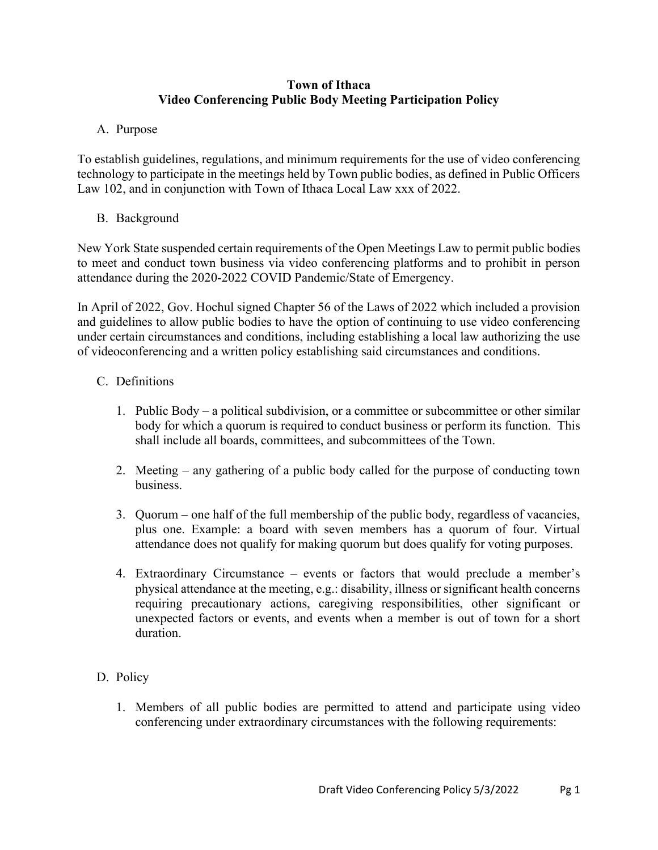#### **Town of Ithaca Video Conferencing Public Body Meeting Participation Policy**

### A. Purpose

To establish guidelines, regulations, and minimum requirements for the use of video conferencing technology to participate in the meetings held by Town public bodies, as defined in Public Officers Law 102, and in conjunction with Town of Ithaca Local Law xxx of 2022.

# B. Background

New York State suspended certain requirements of the Open Meetings Law to permit public bodies to meet and conduct town business via video conferencing platforms and to prohibit in person attendance during the 2020-2022 COVID Pandemic/State of Emergency.

In April of 2022, Gov. Hochul signed Chapter 56 of the Laws of 2022 which included a provision and guidelines to allow public bodies to have the option of continuing to use video conferencing under certain circumstances and conditions, including establishing a local law authorizing the use of videoconferencing and a written policy establishing said circumstances and conditions.

# C. Definitions

- 1. Public Body a political subdivision, or a committee or subcommittee or other similar body for which a quorum is required to conduct business or perform its function. This shall include all boards, committees, and subcommittees of the Town.
- 2. Meeting any gathering of a public body called for the purpose of conducting town business.
- 3. Quorum one half of the full membership of the public body, regardless of vacancies, plus one. Example: a board with seven members has a quorum of four. Virtual attendance does not qualify for making quorum but does qualify for voting purposes.
- 4. Extraordinary Circumstance events or factors that would preclude a member's physical attendance at the meeting, e.g.: disability, illness or significant health concerns requiring precautionary actions, caregiving responsibilities, other significant or unexpected factors or events, and events when a member is out of town for a short duration.

#### D. Policy

1. Members of all public bodies are permitted to attend and participate using video conferencing under extraordinary circumstances with the following requirements: